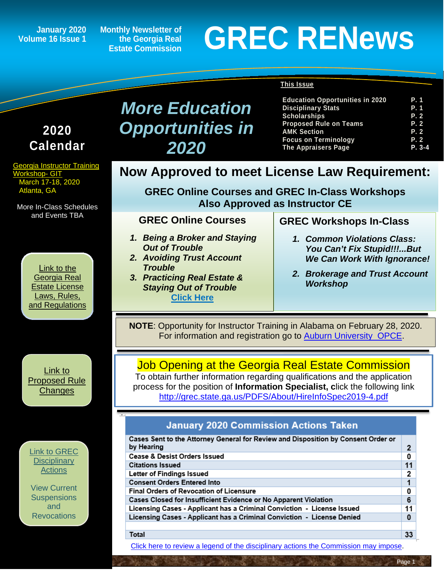**Volume 16 Issue 1**

**Monthly Newsletter of the Georgia Real Estate Commission**

# January 2020 Monthly Newsletter of<br>
Estate Commission<br>
Estate Commission

**Disciplinary Stats**  $S$ cholarships

**Education Opportunities in 2020 P. 1**

**The Appraisers Page P. 3-4**

#### **This Issue**

| 2020<br><b>Calendar</b>                                                                 | <b>Opportunities in</b><br>2020                                                                                                                                                                                        | <b>Proposed Rule on Teams</b><br><b>AMK Section</b><br><b>Focus on Terminology</b><br><b>The Appraisers Page</b> | P. 2<br>P. 2<br><b>P.2</b><br>$P. 3-4$ |  |
|-----------------------------------------------------------------------------------------|------------------------------------------------------------------------------------------------------------------------------------------------------------------------------------------------------------------------|------------------------------------------------------------------------------------------------------------------|----------------------------------------|--|
| <b>Georgia Instructor Training</b><br><b>Workshop- GIT</b><br>March 17-18, 2020         | <b>Now Approved to meet License Law Requirement:</b>                                                                                                                                                                   |                                                                                                                  |                                        |  |
| Atlanta, GA<br>More In-Class Schedules                                                  | <b>GREC Online Courses and GREC In-Class Workshops</b><br><b>Also Approved as Instructor CE</b>                                                                                                                        |                                                                                                                  |                                        |  |
| and Events TBA                                                                          | <b>GREC Online Courses</b>                                                                                                                                                                                             | <b>GREC Workshops In-Class</b>                                                                                   |                                        |  |
|                                                                                         | 1. Being a Broker and Staying<br><b>Out of Trouble</b><br><b>2. Avoiding Trust Account</b>                                                                                                                             | 1. Common Violations Class:<br>You Can't Fix Stupid!!!But<br><b>We Can Work With Ignorance!</b>                  |                                        |  |
| Link to the<br>Georgia Real<br><b>Estate License</b><br>Laws, Rules,<br>and Regulations | <b>Trouble</b><br>3. Practicing Real Estate &<br><b>Staying Out of Trouble</b><br><b>Click Here</b>                                                                                                                    | 2. Brokerage and Trust Account<br><b>Workshop</b>                                                                |                                        |  |
|                                                                                         | NOTE: Opportunity for Instructor Training in Alabama on February 28, 2020.<br>For information and registration go to Auburn University OPCE.                                                                           |                                                                                                                  |                                        |  |
| Link to<br><b>Proposed Rule</b><br><b>Changes</b>                                       | <b>Job Opening at the Georgia Real Estate Commission</b><br>To obtain further information regarding qualifications and the application<br>process for the position of Information Specialist, click the following link | http://grec.state.ga.us/PDFS/About/HireInfoSpec2019-4.pdf                                                        |                                        |  |
|                                                                                         | <b>January 2020 Commission Actions Taken</b>                                                                                                                                                                           |                                                                                                                  |                                        |  |
| <b>Link to GREC</b>                                                                     | Cases Sent to the Attorney General for Review and Disposition by Consent Order or<br>by Hearing                                                                                                                        |                                                                                                                  | 2                                      |  |
| <b>Disciplinary</b><br>Actions                                                          | <b>Cease &amp; Desist Orders Issued</b><br><b>Citations Issued</b><br>Letter of Findings Issued                                                                                                                        |                                                                                                                  | 0<br>11<br>2                           |  |
| <b>View Current</b><br><b>Suspensions</b>                                               | <b>Consent Orders Entered Into</b><br>Final Orders of Revocation of Licensure<br>Cases Closed for Insufficient Evidence or No Apparent Violation                                                                       |                                                                                                                  | $\mathbf{1}$<br>0<br>6                 |  |
| and<br><b>Revocations</b>                                                               | Licensing Cases - Applicant has a Criminal Conviction - License Issued<br>Licensing Cases - Applicant has a Criminal Conviction - License Denied                                                                       |                                                                                                                  | 11<br>$\mathbf{0}$                     |  |
|                                                                                         | Total                                                                                                                                                                                                                  |                                                                                                                  | 33                                     |  |

*More Education* 

[Click here to review a legend of the disciplinary actions the Commission may impose.](https://www.jmre.com/grec/GRECDisciplinaryTools.pdf)

 $33$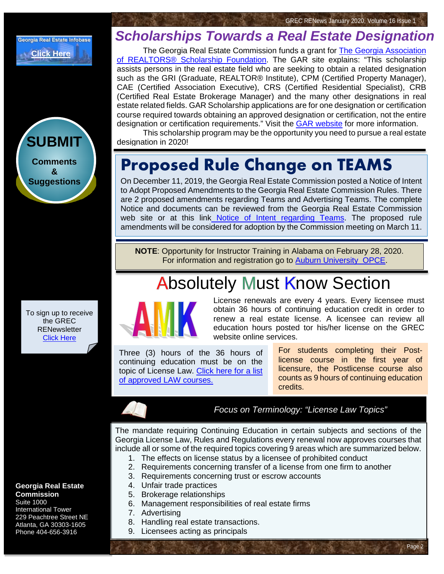



To sign up to receive the GREC **RENewsletter** [Click Here](https://www.grec.state.ga.us/about/subscribe.html)

#### **Georgia Real Estate Commission**

Suite 1000 International Tower 229 Peachtree Street NE Atlanta, GA 30303-1605 Phone 404-656-3916

### *Scholarships Towards a Real Estate Designation*

The Georgia Real Estate Commission funds a grant for [The Georgia Association](https://garealtor.com/education/scholarships/gar-licensee-scholarships/)  [of REALTORS® Scholarship Foundation.](https://garealtor.com/education/scholarships/gar-licensee-scholarships/) The GAR site explains: "This scholarship assists persons in the real estate field who are seeking to obtain a related designation such as the GRI (Graduate, REALTOR® Institute), CPM (Certified Property Manager), CAE (Certified Association Executive), CRS (Certified Residential Specialist), CRB (Certified Real Estate Brokerage Manager) and the many other designations in real estate related fields. GAR Scholarship applications are for one designation or certification course required towards obtaining an approved designation or certification, not the entire designation or certification requirements." Visit the [GAR website](https://garealtor.com/education/scholarships/gar-licensee-scholarships/) for more information.

This scholarship program may be the opportunity you need to pursue a real estate designation in 2020!

### **Proposed Rule Change on TEAMS**

On December 11, 2019, the Georgia Real Estate Commission posted a Notice of Intent to Adopt Proposed Amendments to the Georgia Real Estate Commission Rules. There are 2 proposed amendments regarding Teams and Advertising Teams. The complete Notice and documents can be reviewed from the Georgia Real Estate Commission web site or at this link [Notice of Intent regarding Teams.](http://grec.state.ga.us/PDFS/About/NOTICE%20OF%20INTENT%20-%20Teams%20%20520-1-.02%20Definitions%20and%20520-1-.09%20Advertising%20%20%20for%20GREC%20website%20%2012%2011%2019.pdf) The proposed rule amendments will be considered for adoption by the Commission meeting on March 11.

**NOTE**: Opportunity for Instructor Training in Alabama on February 28, 2020. For information and registration go to [Auburn University OPCE.](https://www.auburn.edu/outreach/opce/re/arec.htm)

## **Absolutely Must Know Section**



License renewals are every 4 years. Every licensee must obtain 36 hours of continuing education credit in order to renew a real estate license. A licensee can review all education hours posted tor his/her license on the GREC website online services.

Three (3) hours of the 36 hours of continuing education must be on the topic of License Law. [Click here for a list](http://www.grec.state.ga.us/PDFS/Other/Course%20Approvals.pdf)  [of approved LAW courses.](http://www.grec.state.ga.us/PDFS/Other/Course%20Approvals.pdf)

For students completing their Postlicense course in the first year of [licensure, the Postlicense course also](http://grec.state.ga.us/about/relaw.html)  counts as 9 hours of continuing education credits.

Page 2

*Focus on Terminology: "License Law Topics"*

The mandate requiring Continuing Education in certain subjects and sections of the Georgia License Law, Rules and Regulations every renewal now approves courses that include all or some of the required topics covering 9 areas which are summarized below.

- 1. The effects on license status by a licensee of prohibited conduct
- 2. Requirements concerning transfer of a license from one firm to another
- 3. Requirements concerning trust or escrow accounts
- 4. Unfair trade practices
- 5. Brokerage relationships
- 6. Management responsibilities of real estate firms
- 7. Advertising
- 8. Handling real estate transactions.
- 9. Licensees acting as principals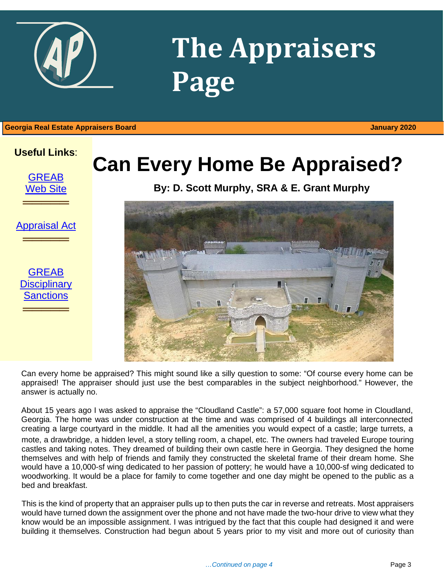

## **The Appraisers Page**

1 **Georgia Real Estate Appraisers Board January 2020**



[Appraisal Act](http://www.grec.state.ga.us/about/appraisersact.html)

═════════════════<br>══════════════════

**GREAB Disciplinary [Sanctions](http://www.grec.state.ga.us/about/apprsanctions.html)** 

═════════════════<br>══════════════════

## **Can Every Home Be Appraised?**

**By: D. Scott Murphy, SRA & E. Grant Murphy**



Can every home be appraised? This might sound like a silly question to some: "Of course every home can be appraised! The appraiser should just use the best comparables in the subject neighborhood." However, the answer is actually no.

About 15 years ago I was asked to appraise the "Cloudland Castle": a 57,000 square foot home in Cloudland, Georgia. The home was under construction at the time and was comprised of 4 buildings all interconnected creating a large courtyard in the middle. It had all the amenities you would expect of a castle; large turrets, a mote, a drawbridge, a hidden level, a story telling room, a chapel, etc. The owners had traveled Europe touring castles and taking notes. They dreamed of building their own castle here in Georgia. They designed the home themselves and with help of friends and family they constructed the skeletal frame of their dream home. She would have a 10,000-sf wing dedicated to her passion of pottery; he would have a 10,000-sf wing dedicated to woodworking. It would be a place for family to come together and one day might be opened to the public as a bed and breakfast.

This is the kind of property that an appraiser pulls up to then puts the car in reverse and retreats. Most appraisers would have turned down the assignment over the phone and not have made the two-hour drive to view what they know would be an impossible assignment. I was intrigued by the fact that this couple had designed it and were building it themselves. Construction had begun about 5 years prior to my visit and more out of curiosity than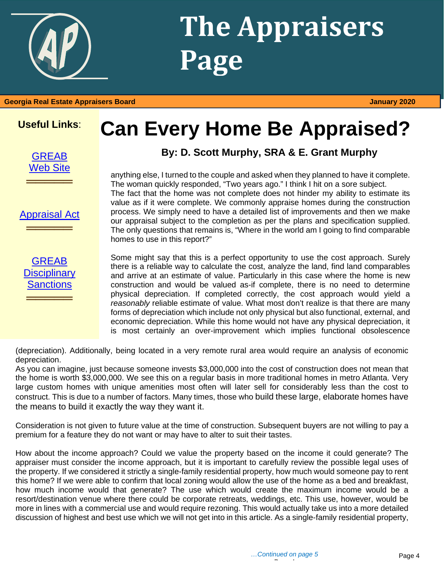

## **The Appraisers Page**

### **Useful Links**:

**[GREAB](http://www.grec.state.ga.us/about/greab.html)** [Web Site](http://www.grec.state.ga.us/about/greab.html)

**═════**

[Appraisal Act](http://www.grec.state.ga.us/about/appraisersact.html)

**═════**

[GREAB](http://www.grec.state.ga.us/about/apprsanctions.html)  **Disciplinary** [Sanctions](http://www.grec.state.ga.us/about/apprsanctions.html)

**═════**

## **Can Every Home Be Appraised?**

### **By: D. Scott Murphy, SRA & E. Grant Murphy**

anything else, I turned to the couple and asked when they planned to have it complete. The woman quickly responded, "Two years ago." I think I hit on a sore subject. The fact that the home was not complete does not hinder my ability to estimate its value as if it were complete. We commonly appraise homes during the construction process. We simply need to have a detailed list of improvements and then we make our appraisal subject to the completion as per the plans and specification supplied. The only questions that remains is, "Where in the world am I going to find comparable homes to use in this report?"

Some might say that this is a perfect opportunity to use the cost approach. Surely there is a reliable way to calculate the cost, analyze the land, find land comparables and arrive at an estimate of value. Particularly in this case where the home is new construction and would be valued as-if complete, there is no need to determine physical depreciation. If completed correctly, the cost approach would yield a *reasonably* reliable estimate of value. What most don't realize is that there are many forms of depreciation which include not only physical but also functional, external, and economic depreciation. While this home would not have any physical depreciation, it is most certainly an over-improvement which implies functional obsolescence

(depreciation). Additionally, being located in a very remote rural area would require an analysis of economic depreciation.

As you can imagine, just because someone invests \$3,000,000 into the cost of construction does not mean that the home is worth \$3,000,000. We see this on a regular basis in more traditional homes in metro Atlanta. Very large custom homes with unique amenities most often will later sell for considerably less than the cost to construct. This is due to a number of factors. Many times, those who build these large, elaborate homes have the means to build it exactly the way they want it.

Consideration is not given to future value at the time of construction. Subsequent buyers are not willing to pay a premium for a feature they do not want or may have to alter to suit their tastes.

How about the income approach? Could we value the property based on the income it could generate? The appraiser must consider the income approach, but it is important to carefully review the possible legal uses of the property. If we considered it strictly a single-family residential property, how much would someone pay to rent this home? If we were able to confirm that local zoning would allow the use of the home as a bed and breakfast, how much income would that generate? The use which would create the maximum income would be a resort/destination venue where there could be corporate retreats, weddings, etc. This use, however, would be more in lines with a commercial use and would require rezoning. This would actually take us into a more detailed discussion of highest and best use which we will not get into in this article. As a single-family residential property,